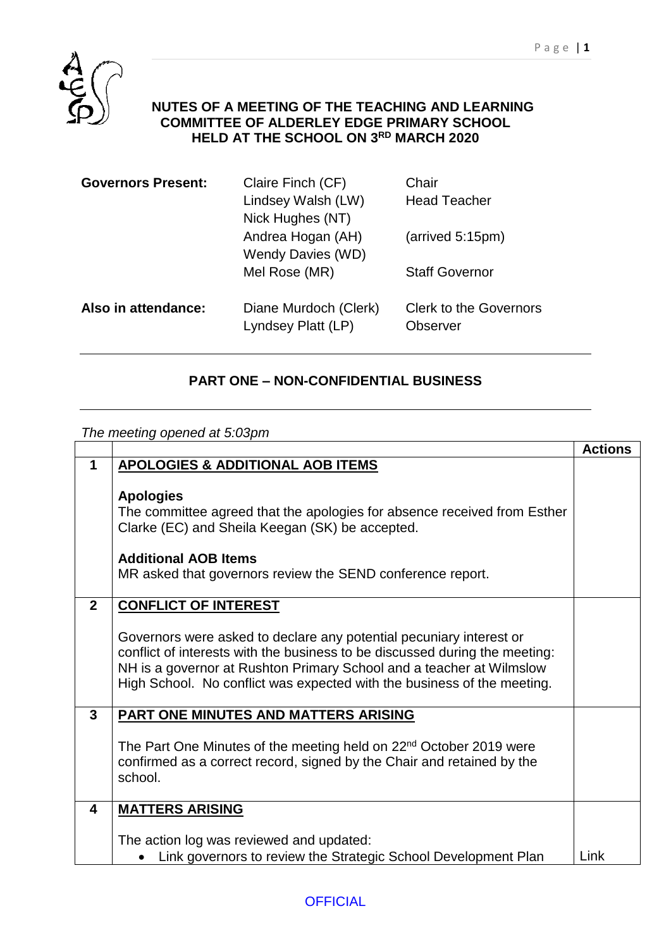

## **NUTES OF A MEETING OF THE TEACHING AND LEARNING COMMITTEE OF ALDERLEY EDGE PRIMARY SCHOOL HELD AT THE SCHOOL ON 3 RD MARCH 2020**

| Claire Finch (CF)     | Chair                         |
|-----------------------|-------------------------------|
| Lindsey Walsh (LW)    | <b>Head Teacher</b>           |
| Nick Hughes (NT)      |                               |
| Andrea Hogan (AH)     | (arrived 5:15pm)              |
| Wendy Davies (WD)     |                               |
| Mel Rose (MR)         | <b>Staff Governor</b>         |
|                       |                               |
| Diane Murdoch (Clerk) | <b>Clerk to the Governors</b> |
| Lyndsey Platt (LP)    | Observer                      |
|                       |                               |

## **PART ONE – NON-CONFIDENTIAL BUSINESS**

*The meeting opened at 5:03pm*

|                |                                                                                                                                                                                                                                                                                                       | <b>Actions</b> |
|----------------|-------------------------------------------------------------------------------------------------------------------------------------------------------------------------------------------------------------------------------------------------------------------------------------------------------|----------------|
| 1              | <b>APOLOGIES &amp; ADDITIONAL AOB ITEMS</b>                                                                                                                                                                                                                                                           |                |
|                | <b>Apologies</b><br>The committee agreed that the apologies for absence received from Esther<br>Clarke (EC) and Sheila Keegan (SK) be accepted.<br><b>Additional AOB Items</b>                                                                                                                        |                |
|                | MR asked that governors review the SEND conference report.                                                                                                                                                                                                                                            |                |
| $\overline{2}$ | <b>CONFLICT OF INTEREST</b>                                                                                                                                                                                                                                                                           |                |
|                | Governors were asked to declare any potential pecuniary interest or<br>conflict of interests with the business to be discussed during the meeting:<br>NH is a governor at Rushton Primary School and a teacher at Wilmslow<br>High School. No conflict was expected with the business of the meeting. |                |
| $\mathbf{3}$   | PART ONE MINUTES AND MATTERS ARISING                                                                                                                                                                                                                                                                  |                |
|                | The Part One Minutes of the meeting held on 22 <sup>nd</sup> October 2019 were<br>confirmed as a correct record, signed by the Chair and retained by the<br>school.                                                                                                                                   |                |
| 4              | <b>MATTERS ARISING</b>                                                                                                                                                                                                                                                                                |                |
|                |                                                                                                                                                                                                                                                                                                       |                |
|                | The action log was reviewed and updated:                                                                                                                                                                                                                                                              |                |
|                | Link governors to review the Strategic School Development Plan                                                                                                                                                                                                                                        | Link           |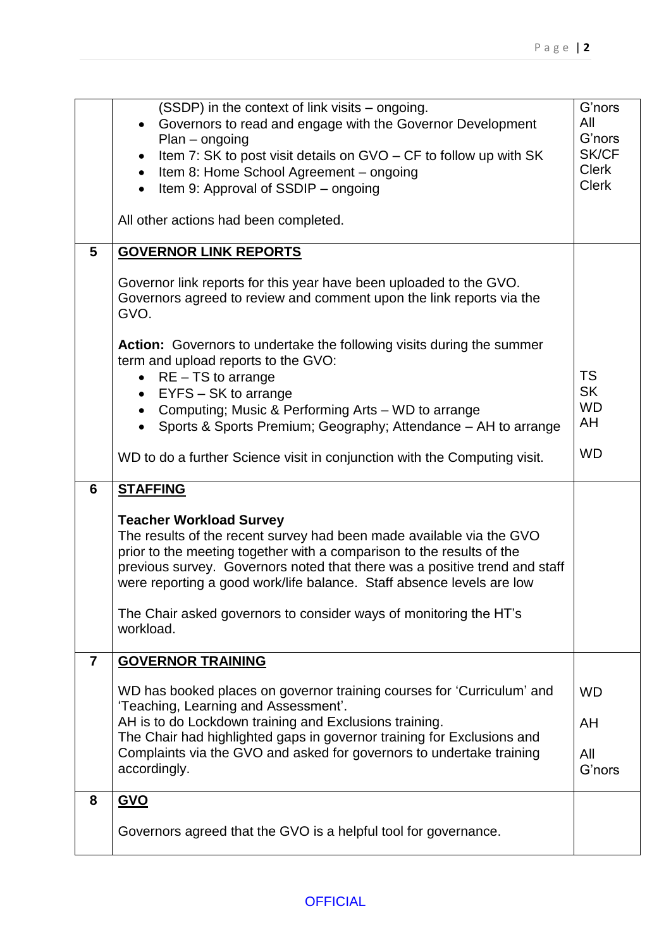|                | (SSDP) in the context of link visits – ongoing.<br>Governors to read and engage with the Governor Development<br>$Plan - ongoing$<br>Item 7: SK to post visit details on GVO – CF to follow up with SK<br>$\bullet$<br>Item 8: Home School Agreement - ongoing<br>$\bullet$<br>Item 9: Approval of SSDIP – ongoing<br>$\bullet$        | G'nors<br>All<br>G'nors<br>SK/CF<br><b>Clerk</b><br><b>Clerk</b> |
|----------------|----------------------------------------------------------------------------------------------------------------------------------------------------------------------------------------------------------------------------------------------------------------------------------------------------------------------------------------|------------------------------------------------------------------|
|                | All other actions had been completed.                                                                                                                                                                                                                                                                                                  |                                                                  |
| 5              | <b>GOVERNOR LINK REPORTS</b>                                                                                                                                                                                                                                                                                                           |                                                                  |
|                | Governor link reports for this year have been uploaded to the GVO.<br>Governors agreed to review and comment upon the link reports via the<br>GVO.                                                                                                                                                                                     |                                                                  |
|                | Action: Governors to undertake the following visits during the summer<br>term and upload reports to the GVO:<br>$RE - TS$ to arrange<br>EYFS - SK to arrange<br>$\bullet$                                                                                                                                                              | <b>TS</b><br><b>SK</b>                                           |
|                | Computing; Music & Performing Arts - WD to arrange<br>$\bullet$<br>Sports & Sports Premium; Geography; Attendance - AH to arrange<br>$\bullet$                                                                                                                                                                                         | <b>WD</b><br>AH                                                  |
|                | WD to do a further Science visit in conjunction with the Computing visit.                                                                                                                                                                                                                                                              | <b>WD</b>                                                        |
| 6              | <b>STAFFING</b>                                                                                                                                                                                                                                                                                                                        |                                                                  |
|                | <b>Teacher Workload Survey</b><br>The results of the recent survey had been made available via the GVO<br>prior to the meeting together with a comparison to the results of the<br>previous survey. Governors noted that there was a positive trend and staff<br>were reporting a good work/life balance. Staff absence levels are low |                                                                  |
|                | The Chair asked governors to consider ways of monitoring the HT's<br>workload.                                                                                                                                                                                                                                                         |                                                                  |
| $\overline{7}$ | <b>GOVERNOR TRAINING</b>                                                                                                                                                                                                                                                                                                               |                                                                  |
|                | WD has booked places on governor training courses for 'Curriculum' and<br>'Teaching, Learning and Assessment'.                                                                                                                                                                                                                         | <b>WD</b>                                                        |
|                | AH is to do Lockdown training and Exclusions training.                                                                                                                                                                                                                                                                                 | AH                                                               |
|                | The Chair had highlighted gaps in governor training for Exclusions and<br>Complaints via the GVO and asked for governors to undertake training<br>accordingly.                                                                                                                                                                         | All<br>G'nors                                                    |
| 8              | <b>GVO</b>                                                                                                                                                                                                                                                                                                                             |                                                                  |
|                | Governors agreed that the GVO is a helpful tool for governance.                                                                                                                                                                                                                                                                        |                                                                  |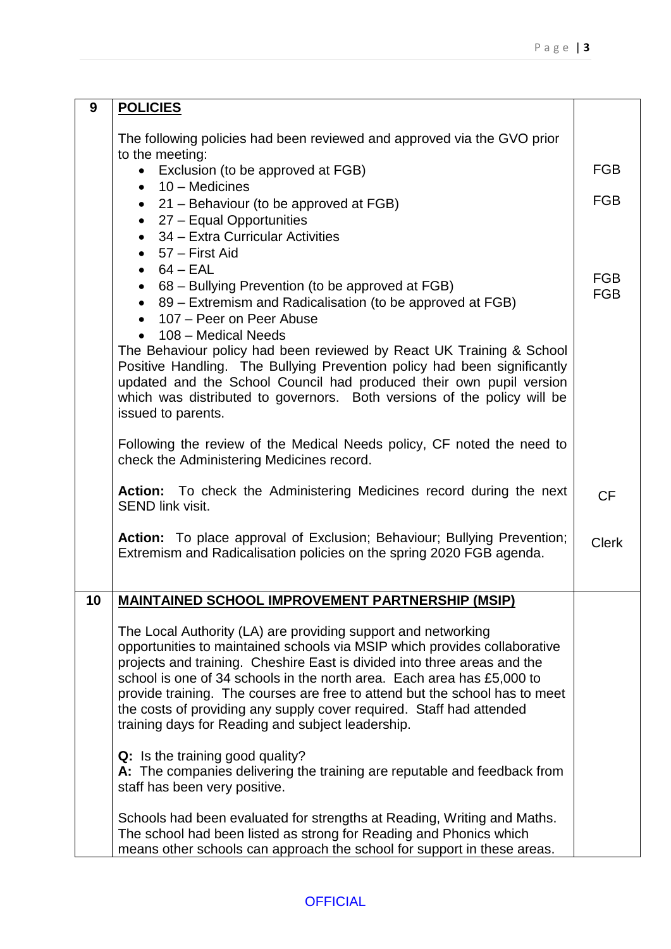| 9  | <b>POLICIES</b>                                                                                                                                                                                                                                                                                                                                                                                                                                                                                              |                          |
|----|--------------------------------------------------------------------------------------------------------------------------------------------------------------------------------------------------------------------------------------------------------------------------------------------------------------------------------------------------------------------------------------------------------------------------------------------------------------------------------------------------------------|--------------------------|
|    | The following policies had been reviewed and approved via the GVO prior<br>to the meeting:                                                                                                                                                                                                                                                                                                                                                                                                                   |                          |
|    | Exclusion (to be approved at FGB)                                                                                                                                                                                                                                                                                                                                                                                                                                                                            | <b>FGB</b>               |
|    | $10 -$ Medicines<br>$\bullet$<br>• 21 - Behaviour (to be approved at FGB)                                                                                                                                                                                                                                                                                                                                                                                                                                    | <b>FGB</b>               |
|    | $\bullet$ 27 – Equal Opportunities                                                                                                                                                                                                                                                                                                                                                                                                                                                                           |                          |
|    | $\bullet$ 34 – Extra Curricular Activities                                                                                                                                                                                                                                                                                                                                                                                                                                                                   |                          |
|    | $\bullet$ 57 – First Aid<br>$\bullet$ 64 – EAL                                                                                                                                                                                                                                                                                                                                                                                                                                                               |                          |
|    | • 68 – Bullying Prevention (to be approved at FGB)                                                                                                                                                                                                                                                                                                                                                                                                                                                           | <b>FGB</b><br><b>FGB</b> |
|    | • 89 – Extremism and Radicalisation (to be approved at FGB)<br>107 – Peer on Peer Abuse                                                                                                                                                                                                                                                                                                                                                                                                                      |                          |
|    | 108 - Medical Needs<br>The Behaviour policy had been reviewed by React UK Training & School<br>Positive Handling. The Bullying Prevention policy had been significantly<br>updated and the School Council had produced their own pupil version<br>which was distributed to governors. Both versions of the policy will be<br>issued to parents.                                                                                                                                                              |                          |
|    | Following the review of the Medical Needs policy, CF noted the need to<br>check the Administering Medicines record.                                                                                                                                                                                                                                                                                                                                                                                          |                          |
|    | Action: To check the Administering Medicines record during the next<br><b>SEND link visit.</b>                                                                                                                                                                                                                                                                                                                                                                                                               | <b>CF</b>                |
|    | Action: To place approval of Exclusion; Behaviour; Bullying Prevention;<br>Extremism and Radicalisation policies on the spring 2020 FGB agenda.                                                                                                                                                                                                                                                                                                                                                              | <b>Clerk</b>             |
| 10 | <b>MAINTAINED SCHOOL IMPROVEMENT PARTNERSHIP (MSIP)</b>                                                                                                                                                                                                                                                                                                                                                                                                                                                      |                          |
|    |                                                                                                                                                                                                                                                                                                                                                                                                                                                                                                              |                          |
|    | The Local Authority (LA) are providing support and networking<br>opportunities to maintained schools via MSIP which provides collaborative<br>projects and training. Cheshire East is divided into three areas and the<br>school is one of 34 schools in the north area. Each area has £5,000 to<br>provide training. The courses are free to attend but the school has to meet<br>the costs of providing any supply cover required. Staff had attended<br>training days for Reading and subject leadership. |                          |
|    | Q: Is the training good quality?<br>A: The companies delivering the training are reputable and feedback from<br>staff has been very positive.                                                                                                                                                                                                                                                                                                                                                                |                          |
|    | Schools had been evaluated for strengths at Reading, Writing and Maths.<br>The school had been listed as strong for Reading and Phonics which<br>means other schools can approach the school for support in these areas.                                                                                                                                                                                                                                                                                     |                          |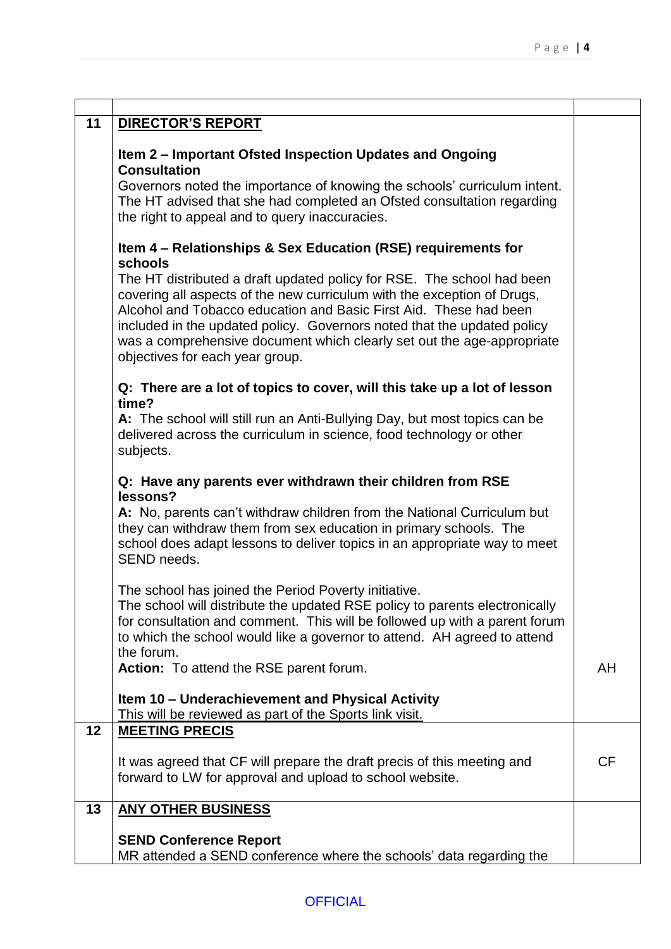| 11 | <b>DIRECTOR'S REPORT</b>                                                                                                                                                                                                                                                                                                                                                                                       |           |
|----|----------------------------------------------------------------------------------------------------------------------------------------------------------------------------------------------------------------------------------------------------------------------------------------------------------------------------------------------------------------------------------------------------------------|-----------|
|    | Item 2 – Important Ofsted Inspection Updates and Ongoing<br><b>Consultation</b>                                                                                                                                                                                                                                                                                                                                |           |
|    | Governors noted the importance of knowing the schools' curriculum intent.<br>The HT advised that she had completed an Ofsted consultation regarding<br>the right to appeal and to query inaccuracies.                                                                                                                                                                                                          |           |
|    | Item 4 – Relationships & Sex Education (RSE) requirements for<br>schools                                                                                                                                                                                                                                                                                                                                       |           |
|    | The HT distributed a draft updated policy for RSE. The school had been<br>covering all aspects of the new curriculum with the exception of Drugs,<br>Alcohol and Tobacco education and Basic First Aid. These had been<br>included in the updated policy. Governors noted that the updated policy<br>was a comprehensive document which clearly set out the age-appropriate<br>objectives for each year group. |           |
|    | Q: There are a lot of topics to cover, will this take up a lot of lesson<br>time?                                                                                                                                                                                                                                                                                                                              |           |
|    | A: The school will still run an Anti-Bullying Day, but most topics can be<br>delivered across the curriculum in science, food technology or other<br>subjects.                                                                                                                                                                                                                                                 |           |
|    | Q: Have any parents ever withdrawn their children from RSE<br>lessons?                                                                                                                                                                                                                                                                                                                                         |           |
|    | A: No, parents can't withdraw children from the National Curriculum but<br>they can withdraw them from sex education in primary schools. The<br>school does adapt lessons to deliver topics in an appropriate way to meet<br>SEND needs.                                                                                                                                                                       |           |
|    | The school has joined the Period Poverty initiative.<br>The school will distribute the updated RSE policy to parents electronically<br>for consultation and comment. This will be followed up with a parent forum<br>to which the school would like a governor to attend. AH agreed to attend<br>the forum.                                                                                                    |           |
|    | Action: To attend the RSE parent forum.                                                                                                                                                                                                                                                                                                                                                                        | AH        |
|    | Item 10 - Underachievement and Physical Activity<br>This will be reviewed as part of the Sports link visit.                                                                                                                                                                                                                                                                                                    |           |
| 12 | <b>MEETING PRECIS</b>                                                                                                                                                                                                                                                                                                                                                                                          |           |
|    | It was agreed that CF will prepare the draft precis of this meeting and<br>forward to LW for approval and upload to school website.                                                                                                                                                                                                                                                                            | <b>CF</b> |
| 13 | <b>ANY OTHER BUSINESS</b>                                                                                                                                                                                                                                                                                                                                                                                      |           |
|    | <b>SEND Conference Report</b><br>MR attended a SEND conference where the schools' data regarding the                                                                                                                                                                                                                                                                                                           |           |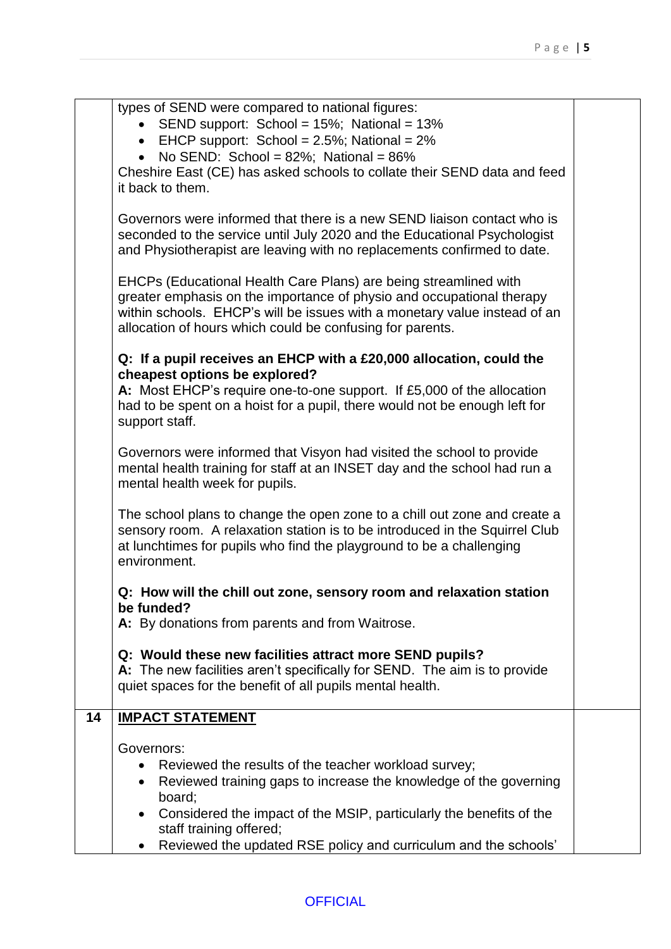|    | types of SEND were compared to national figures:<br>SEND support: School = 15%; National = 13%<br>• EHCP support: School = $2.5\%$ ; National = $2\%$<br>No SEND: School = $82\%$ ; National = $86\%$<br>Cheshire East (CE) has asked schools to collate their SEND data and feed<br>it back to them.<br>Governors were informed that there is a new SEND liaison contact who is |  |
|----|----------------------------------------------------------------------------------------------------------------------------------------------------------------------------------------------------------------------------------------------------------------------------------------------------------------------------------------------------------------------------------|--|
|    | seconded to the service until July 2020 and the Educational Psychologist<br>and Physiotherapist are leaving with no replacements confirmed to date.                                                                                                                                                                                                                              |  |
|    | EHCPs (Educational Health Care Plans) are being streamlined with<br>greater emphasis on the importance of physio and occupational therapy<br>within schools. EHCP's will be issues with a monetary value instead of an<br>allocation of hours which could be confusing for parents.                                                                                              |  |
|    | Q: If a pupil receives an EHCP with a £20,000 allocation, could the                                                                                                                                                                                                                                                                                                              |  |
|    | cheapest options be explored?<br>A: Most EHCP's require one-to-one support. If £5,000 of the allocation<br>had to be spent on a hoist for a pupil, there would not be enough left for<br>support staff.                                                                                                                                                                          |  |
|    | Governors were informed that Visyon had visited the school to provide<br>mental health training for staff at an INSET day and the school had run a<br>mental health week for pupils.                                                                                                                                                                                             |  |
|    | The school plans to change the open zone to a chill out zone and create a<br>sensory room. A relaxation station is to be introduced in the Squirrel Club<br>at lunchtimes for pupils who find the playground to be a challenging<br>environment.                                                                                                                                 |  |
|    | Q: How will the chill out zone, sensory room and relaxation station                                                                                                                                                                                                                                                                                                              |  |
|    | be funded?<br>A: By donations from parents and from Waitrose.                                                                                                                                                                                                                                                                                                                    |  |
|    | Q: Would these new facilities attract more SEND pupils?<br>A: The new facilities aren't specifically for SEND. The aim is to provide<br>quiet spaces for the benefit of all pupils mental health.                                                                                                                                                                                |  |
| 14 | <b>IMPACT STATEMENT</b>                                                                                                                                                                                                                                                                                                                                                          |  |
|    | Governors:                                                                                                                                                                                                                                                                                                                                                                       |  |
|    | Reviewed the results of the teacher workload survey;<br>Reviewed training gaps to increase the knowledge of the governing<br>$\bullet$<br>board;                                                                                                                                                                                                                                 |  |
|    | Considered the impact of the MSIP, particularly the benefits of the<br>staff training offered;                                                                                                                                                                                                                                                                                   |  |
|    | Reviewed the updated RSE policy and curriculum and the schools'                                                                                                                                                                                                                                                                                                                  |  |